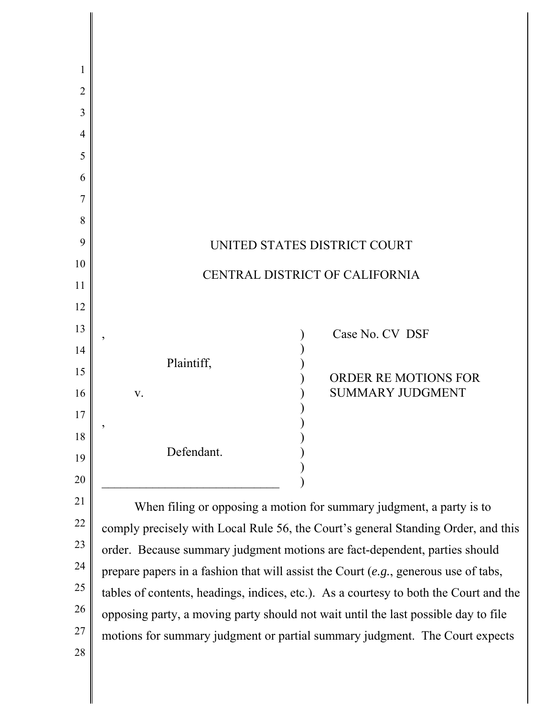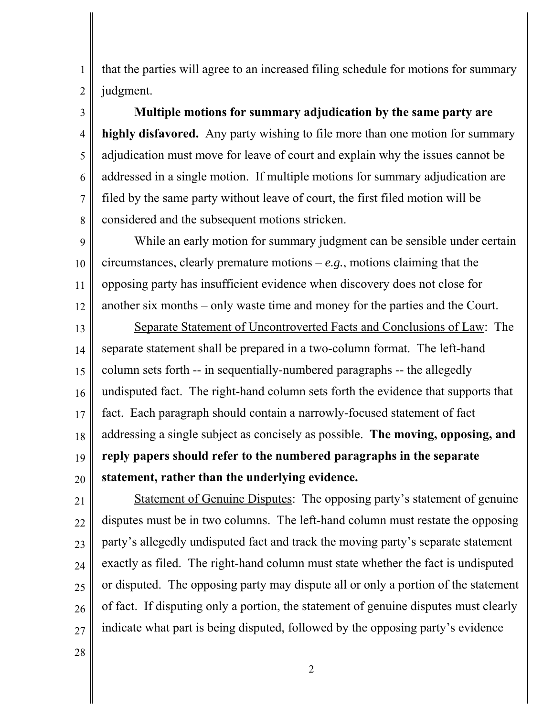that the parties will agree to an increased filing schedule for motions for summary judgment.

**Multiple motions for summary adjudication by the same party are highly disfavored.** Any party wishing to file more than one motion for summary adjudication must move for leave of court and explain why the issues cannot be addressed in a single motion. If multiple motions for summary adjudication are filed by the same party without leave of court, the first filed motion will be considered and the subsequent motions stricken.

9 10 11 12 While an early motion for summary judgment can be sensible under certain circumstances, clearly premature motions – *e.g.*, motions claiming that the opposing party has insufficient evidence when discovery does not close for another six months – only waste time and money for the parties and the Court.

13 14 15 16 17 18 19 20 Separate Statement of Uncontroverted Facts and Conclusions of Law: The separate statement shall be prepared in a two-column format. The left-hand column sets forth -- in sequentially-numbered paragraphs -- the allegedly undisputed fact. The right-hand column sets forth the evidence that supports that fact. Each paragraph should contain a narrowly-focused statement of fact addressing a single subject as concisely as possible. **The moving, opposing, and reply papers should refer to the numbered paragraphs in the separate statement, rather than the underlying evidence.** 

21

1

2

3

4

5

6

7

8

22 23 24 25 26 27 Statement of Genuine Disputes: The opposing party's statement of genuine disputes must be in two columns. The left-hand column must restate the opposing party's allegedly undisputed fact and track the moving party's separate statement exactly as filed. The right-hand column must state whether the fact is undisputed or disputed. The opposing party may dispute all or only a portion of the statement of fact. If disputing only a portion, the statement of genuine disputes must clearly indicate what part is being disputed, followed by the opposing party's evidence

28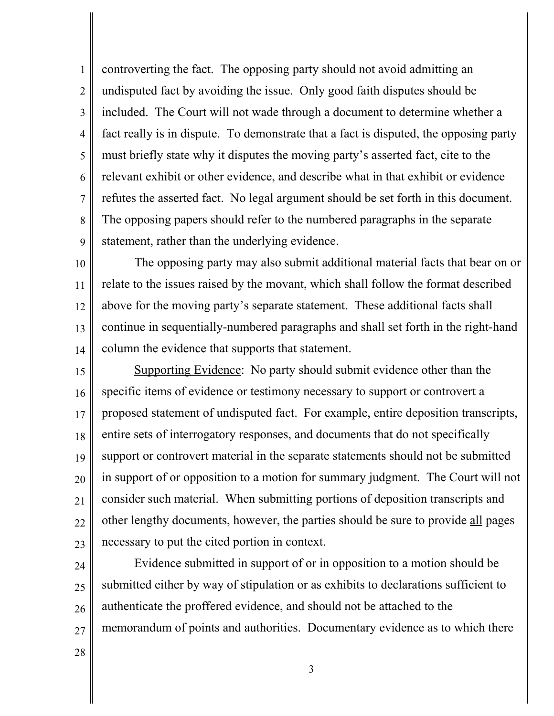1 2 3 4 5 6 7 8 9 controverting the fact. The opposing party should not avoid admitting an undisputed fact by avoiding the issue. Only good faith disputes should be included. The Court will not wade through a document to determine whether a fact really is in dispute. To demonstrate that a fact is disputed, the opposing party must briefly state why it disputes the moving party's asserted fact, cite to the relevant exhibit or other evidence, and describe what in that exhibit or evidence refutes the asserted fact. No legal argument should be set forth in this document. The opposing papers should refer to the numbered paragraphs in the separate statement, rather than the underlying evidence.

10 11 12 13 14 The opposing party may also submit additional material facts that bear on or relate to the issues raised by the movant, which shall follow the format described above for the moving party's separate statement. These additional facts shall continue in sequentially-numbered paragraphs and shall set forth in the right-hand column the evidence that supports that statement.

15 16 17 18 19 20 21 22 23 Supporting Evidence: No party should submit evidence other than the specific items of evidence or testimony necessary to support or controvert a proposed statement of undisputed fact. For example, entire deposition transcripts, entire sets of interrogatory responses, and documents that do not specifically support or controvert material in the separate statements should not be submitted in support of or opposition to a motion for summary judgment. The Court will not consider such material. When submitting portions of deposition transcripts and other lengthy documents, however, the parties should be sure to provide all pages necessary to put the cited portion in context.

24 25 26 27 Evidence submitted in support of or in opposition to a motion should be submitted either by way of stipulation or as exhibits to declarations sufficient to authenticate the proffered evidence, and should not be attached to the memorandum of points and authorities. Documentary evidence as to which there

28

3